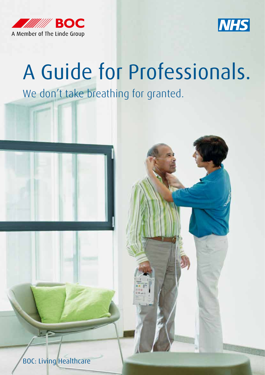



# A Guide for Professionals.

We don't take breathing for granted.

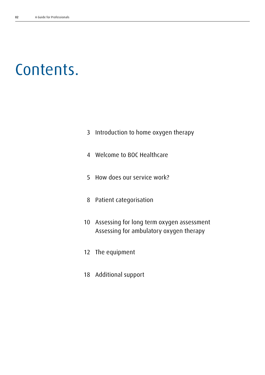# Contents.

- Introduction to home oxygen therapy
- Welcome to BOC Healthcare
- How does our service work?
- Patient categorisation
- Assessing for long term oxygen assessment Assessing for ambulatory oxygen therapy
- The equipment
- Additional support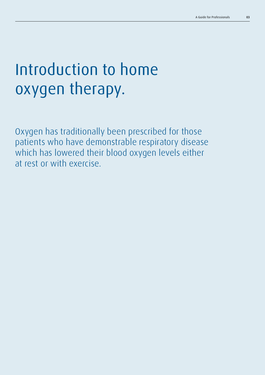# Introduction to home oxygen therapy.

Oxygen has traditionally been prescribed for those patients who have demonstrable respiratory disease which has lowered their blood oxygen levels either at rest or with exercise.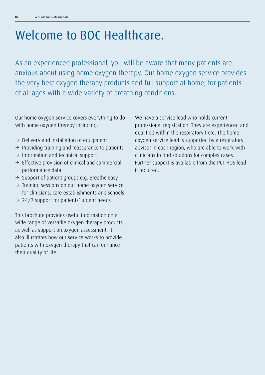## Welcome to BOC Healthcare.

As an experienced professional, you will be aware that many patients are anxious about using home oxygen therapy. Our home oxygen service provides the very best oxygen therapy products and full support at home, for patients of all ages with a wide variety of breathing conditions.

Our home oxygen service covers everything to do with home oxygen therapy including:

- $\rightarrow$  Delivery and installation of equipment
- $\rightarrow$  Providing training and reassurance to patients
- $\rightarrow$  Information and technical support
- $\rightarrow$  Effective provision of clinical and commercial performance data
- $\rightarrow$  Support of patient groups e.g. Breathe Easy
- $\rightarrow$  Training sessions on our home oxygen service for clinicians, care establishments and schools
- $\rightarrow$  24/7 support for patients' urgent needs

This brochure provides useful information on a wide range of versatile oxygen therapy products as well as support on oxygen assessment. It also illustrates how our service works to provide patients with oxygen therapy that can enhance their quality of life.

We have a service lead who holds current professional registration. They are experienced and qualified within the respiratory field. The home oxygen service lead is supported by a respiratory advisor in each region, who are able to work with clinicians to find solutions for complex cases. Further support is available from the PCT HOS lead if required.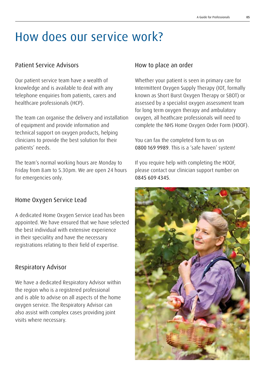### How does our service work?

#### Patient Service Advisors

Our patient service team have a wealth of knowledge and is available to deal with any telephone enquiries from patients, carers and healthcare professionals (HCP).

The team can organise the delivery and installation of equipment and provide information and technical support on oxygen products, helping clinicians to provide the best solution for their patients' needs.

The team's normal working hours are Monday to Friday from 8am to 5.30pm. We are open 24 hours for emergencies only.

#### Home Oxygen Service Lead

A dedicated Home Oxygen Service Lead has been appointed. We have ensured that we have selected the best individual with extensive experience in their speciality and have the necessary registrations relating to their field of expertise.

#### Respiratory Advisor

We have a dedicated Respiratory Advisor within the region who is a registered professional and is able to advise on all aspects of the home oxygen service. The Respiratory Advisor can also assist with complex cases providing joint visits where necessary.

#### How to place an order

Whether your patient is seen in primary care for Intermittent Oxygen Supply Therapy (IOT, formally known as Short Burst Oxygen Therapy or SBOT) or assessed by a specialist oxygen assessment team for long term oxygen therapy and ambulatory oxygen, all heathcare professionals will need to complete the NHS Home Oxygen Order Form (HOOF).

You can fax the completed form to us on 0800 169 9989. This is a 'safe haven' system!

If you require help with completing the HOOF, please contact our clinician support number on 0845 609 4345.

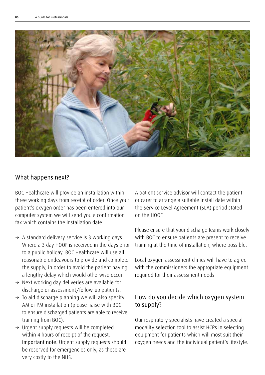

#### What happens next?

BOC Healthcare will provide an installation within three working days from receipt of order. Once your patient's oxygen order has been entered into our computer system we will send you a confirmation fax which contains the installation date.

- $\rightarrow$  A standard delivery service is 3 working days. Where a 3 day HOOF is received in the days prior to a public holiday, BOC Healthcare will use all reasonable endeavours to provide and complete the supply, in order to avoid the patient having a lengthy delay which would otherwise occur.
- $\rightarrow$  Next working day deliveries are available for discharge or assessment/follow-up patients.
- $\rightarrow$  To aid discharge planning we will also specify AM or PM installation (please liaise with BOC to ensure discharged patients are able to receive training from BOC).
- $\rightarrow$  Urgent supply requests will be completed within 4 hours of receipt of the request. Important note: Urgent supply requests should be reserved for emergencies only, as these are very costly to the NHS.

A patient service advisor will contact the patient or carer to arrange a suitable install date within the Service Level Agreement (SLA) period stated on the HOOF.

Please ensure that your discharge teams work closely with BOC to ensure patients are present to receive training at the time of installation, where possible.

Local oxygen assessment clinics will have to agree with the commissioners the appropriate equipment required for their assessment needs.

#### How do you decide which oxygen system to supply?

Our respiratory specialists have created a special modality selection tool to assist HCPs in selecting equipment for patients which will most suit their oxygen needs and the individual patient's lifestyle.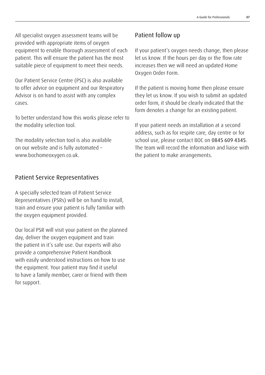All specialist oxygen assessment teams will be provided with appropriate items of oxygen equipment to enable thorough assessment of each patient. This will ensure the patient has the most suitable piece of equipment to meet their needs.

Our Patient Service Centre (PSC) is also available to offer advice on equipment and our Respiratory Advisor is on hand to assist with any complex cases.

To better understand how this works please refer to the modality selection tool.

The modality selection tool is also available on our website and is fully automated – www.bochomeoxygen.co.uk.

#### Patient Service Representatives

A specially selected team of Patient Service Representatives (PSRs) will be on hand to install, train and ensure your patient is fully familiar with the oxygen equipment provided.

Our local PSR will visit your patient on the planned day, deliver the oxygen equipment and train the patient in it's safe use. Our experts will also provide a comprehensive Patient Handbook with easily understood instructions on how to use the equipment. Your patient may find it useful to have a family member, carer or friend with them for support.

#### Patient follow up

If your patient's oxygen needs change, then please let us know. If the hours per day or the flow rate increases then we will need an updated Home Oxygen Order Form.

If the patient is moving home then please ensure they let us know. If you wish to submit an updated order form, it should be clearly indicated that the form denotes a change for an existing patient.

If your patient needs an installation at a second address, such as for respite care, day centre or for school use, please contact BOC on 0845 609 4345. The team will record the information and liaise with the patient to make arrangements.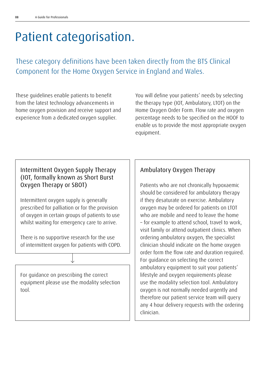### Patient categorisation.

These category definitions have been taken directly from the BTS Clinical Component for the Home Oxygen Service in England and Wales.

These guidelines enable patients to benefit from the latest technology advancements in home oxygen provision and receive support and experience from a dedicated oxygen supplier.

You will define your patients' needs by selecting the therapy type (IOT, Ambulatory, LTOT) on the Home Oxygen Order Form. Flow rate and oxygen percentage needs to be specified on the HOOF to enable us to provide the most appropriate oxygen equipment.

#### Intermittent Oxygen Supply Therapy (IOT, formally known as Short Burst Oxygen Therapy or SBOT)

Intermittent oxygen supply is generally prescribed for palliation or for the provision of oxygen in certain groups of patients to use whilst waiting for emergency care to arrive.

There is no supportive research for the use of intermittent oxygen for patients with COPD.

For guidance on prescribing the correct equipment please use the modality selection tool.

#### Ambulatory Oxygen Therapy

Patients who are not chronically hypoxaemic should be considered for ambulatory therapy if they desaturate on exercise. Ambulatory oxygen may be ordered for patients on LTOT who are mobile and need to leave the home – for example to attend school, travel to work, visit family or attend outpatient clinics. When ordering ambulatory oxygen, the specialist clinician should indicate on the home oxygen order form the flow rate and duration required. For guidance on selecting the correct ambulatory equipment to suit your patients' lifestyle and oxygen requirements please use the modality selection tool. Ambulatory oxygen is not normally needed urgently and therefore our patient service team will query any 4 hour delivery requests with the ordering clinician.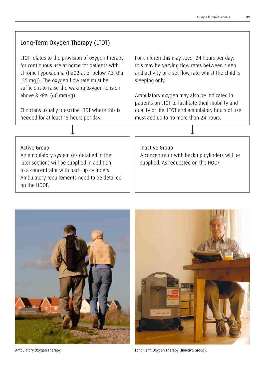#### Long-Term Oxygen Therapy (LTOT)

LTOT relates to the provision of oxygen therapy for continuous use at home for patients with chronic hypoxaemia (PaO2 at or below 7.3 kPa [55 mg]). The oxygen flow rate must be sufficient to raise the waking oxygen tension above 8 kPa, (60 mmHg).

Clinicians usually prescribe LTOT where this is needed for at least 15 hours per day.

For children this may cover 24 hours per day, this may be varying flow rates between sleep and activity or a set flow rate whilst the child is sleeping only.

Ambulatory oxygen may also be indicated in patients on LTOT to facilitate their mobility and quality of life. LTOT and ambulatory hours of use must add up to no more than 24 hours.

#### Active Group

An ambulatory system (as detailed in the later section) will be supplied in addition to a concentrator with back-up cylinders. Ambulatory requirements need to be detailed on the HOOF.

#### Inactive Group

A concentrator with back-up cylinders will be supplied. As requested on the HOOF.





Ambulatory Oxygen Therapy. Long-Term Oxygen Therapy (Inactive Group).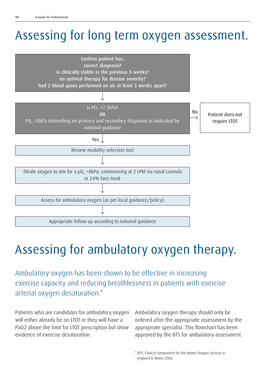# Assessing for long term oxygen assessment.



# Assessing for ambulatory oxygen therapy.

Ambulatory oxygen has been shown to be effective in increasing exercise capacity and reducing breathlessness in patients with exercise arterial oxygen desaturation.\*

Patients who are candidates for ambulatory oxygen will either already be on LTOT or they will have a PaO2 above the limit for LTOT prescription but show evidence of exercise desaturation.

Ambulatory oxygen therapy should only be ordered after the appropriate assessment by the appropriate specialist. This flowchart has been approved by the BTS for ambulatory assessment.

\* BTS: Clinical component for the Home Oxygen Service in England & Wales 2006.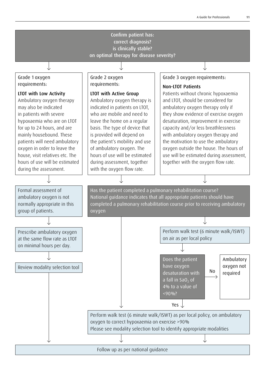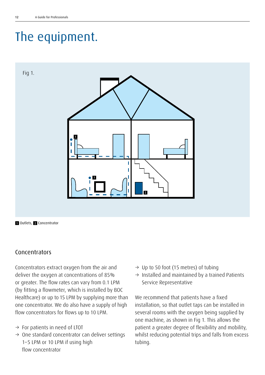# The equipment.



#### Concentrators

Concentrators extract oxygen from the air and deliver the oxygen at concentrations of 85% or greater. The flow rates can vary from 0.1 LPM (by fitting a flowmeter, which is installed by BOC Healthcare) or up to 15 LPM by supplying more than one concentrator. We do also have a supply of high flow concentrators for flows up to 10 LPM.

- $\rightarrow$  For patients in need of LTOT
- $\rightarrow$  One standard concentrator can deliver settings 1–5 LPM or 10 LPM if using high flow concentrator
- $\rightarrow$  Up to 50 foot (15 metres) of tubing
- $\rightarrow$  Installed and maintained by a trained Patients Service Representative

We recommend that patients have a fixed installation, so that outlet taps can be installed in several rooms with the oxygen being supplied by one machine, as shown in Fig 1. This allows the patient a greater degree of flexibility and mobility, whilst reducing potential trips and falls from excess tubing.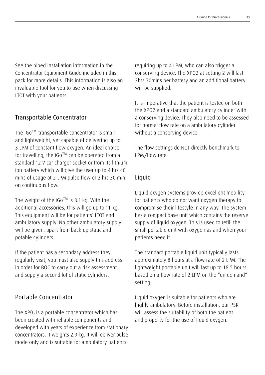See the piped installation information in the Concentrator Equipment Guide included in this pack for more details. This information is also an invaluable tool for you to use when discussing LTOT with your patients.

#### Transportable Concentrator

The iGo™ transportable concentrator is small and lightweight, yet capable of delivering up to 3 LPM of constant flow oxygen. An ideal choice for travelling, the iGo™ can be operated from a standard 12 V car charger socket or from its lithium ion battery which will give the user up to 4 hrs 40 mins of usage at 2 LPM pulse flow or 2 hrs 30 min on continuous flow.

The weight of the iGo™ is 8.1 kg. With the additional accessories, this will go up to 11 kg. This equipment will be for patients' LTOT and ambulatory supply. No other ambulatory supply will be given, apart from back-up static and potable cylinders.

If the patient has a secondary address they regularly visit, you must also supply this address in order for BOC to carry out a risk assessment and supply a second lot of static cylinders.

#### Portable Concentrator

The XP0 $_2$  is a portable concentrator which has been created with reliable components and developed with years of experience from stationary concentrators. It weights 2.9 kg. It will deliver pulse mode only and is suitable for ambulatory patients

requiring up to 4 LPM, who can also trigger a conserving device. The XPO2 at setting 2 will last 2hrs 30mins per battery and an additional battery will be supplied.

It is imperative that the patient is tested on both the XPO2 and a standard ambulatory cylinder with a conserving device. They also need to be assessed for normal flow rate on a ambulatory cylinder without a conserving device.

The flow settings do NOT directly benchmark to LPM/flow rate.

#### Liquid

Liquid oxygen systems provide excellent mobility for patients who do not want oxygen therapy to compromise their lifestyle in any way. The system has a compact base unit which contains the reserve supply of liquid oxygen. This is used to refill the small portable unit with oxygen as and when your patients need it.

The standard portable liquid unit typically lasts approximately 8 hours at a flow rate of 2 LPM. The lightweight portable unit will last up to 18.5 hours based on a flow rate of 2 LPM on the "on demand" setting.

Liquid oxygen is suitable for patients who are highly ambulatory. Before installation, our PSR will assess the suitability of both the patient and property for the use of liquid oxygen.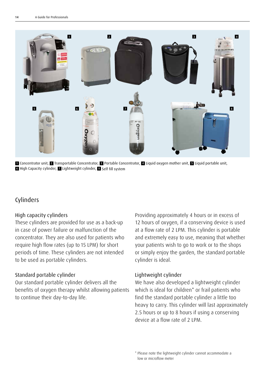

1 Concentrator unit, 2 Transportable Concentrator, 3 Portable Concentrator, 4 Liquid oxygen mother unit, 5 Liquid portable unit, 6 High Capacity cylinder, **7** Lightweight cylinder, 8 Self fill system

#### Cylinders

#### High capacity cylinders

These cylinders are provided for use as a back-up in case of power failure or malfunction of the concentrator. They are also used for patients who require high flow rates (up to 15 LPM) for short periods of time. These cylinders are not intended to be used as portable cylinders.

#### Standard portable cylinder

Our standard portable cylinder delivers all the benefits of oxygen therapy whilst allowing patients to continue their day-to-day life.

Providing approximately 4 hours or in excess of 12 hours of oxygen, if a conserving device is used at a flow rate of 2 LPM. This cylinder is portable and extremely easy to use, meaning that whether your patients wish to go to work or to the shops or simply enjoy the garden, the standard portable cylinder is ideal.

#### Lightweight cylinder

We have also developed a lightweight cylinder which is ideal for children<sup>\*</sup> or frail patients who find the standard portable cylinder a little too heavy to carry. This cylinder will last approximately 2.5 hours or up to 8 hours if using a conserving device at a flow rate of 2 LPM.

<sup>\*</sup> Please note the lightweight cylinder cannot accommodate a low or microflow meter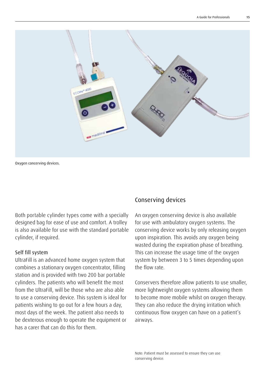

Oxygen concerving devices.

Both portable cylinder types come with a specially designed bag for ease of use and comfort. A trolley is also available for use with the standard portable cylinder, if required.

#### Self fill system

UltraFill is an advanced home oxygen system that combines a stationary oxygen concentrator, filling station and is provided with two 200 bar portable cylinders. The patients who will benefit the most from the UltraFill, will be those who are also able to use a conserving device. This system is ideal for patients wishing to go out for a few hours a day, most days of the week. The patient also needs to be dexterous enough to operate the equipment or has a carer that can do this for them.

#### Conserving devices

An oxygen conserving device is also available for use with ambulatory oxygen systems. The conserving device works by only releasing oxygen upon inspiration. This avoids any oxygen being wasted during the expiration phase of breathing. This can increase the usage time of the oxygen system by between 3 to 5 times depending upon the flow rate.

Conservers therefore allow patients to use smaller, more lightweight oxygen systems allowing them to become more mobile whilst on oxygen therapy. They can also reduce the drying irritation which continuous flow oxygen can have on a patient's airways.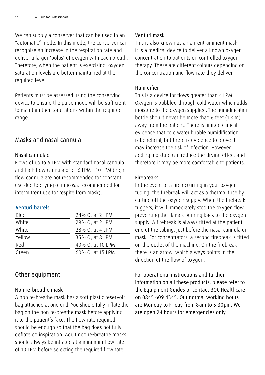We can supply a conserver that can be used in an "automatic" mode. In this mode, the conserver can recognise an increase in the respiration rate and deliver a larger 'bolus' of oxygen with each breath. Therefore, when the patient is exercising, oxygen saturation levels are better maintained at the required level.

Patients must be assessed using the conserving device to ensure the pulse mode will be sufficient to maintain their saturations within the required range.

#### Masks and nasal cannula

#### Nasal cannulae

Flows of up to 6 LPM with standard nasal cannula and high flow cannula offer 6 LPM – 10 LPM (high flow cannula are not recommended for constant use due to drying of mucosa, recommended for intermittent use for respite from mask).

#### Venturi barrels

| Blue   | 24% $02$ at 2 LPM   |
|--------|---------------------|
| White  | 28% $02$ at 2 LPM   |
| White  | 28% $0$ , at 4 LPM  |
| Yellow | 35% $02$ at 8 LPM   |
| Red    | 40% $02$ at 10 LPM  |
| Green  | 60% $0$ , at 15 LPM |

#### Other equipment

#### Non re-breathe mask

A non re-breathe mask has a soft plastic reservoir bag attached at one end. You should fully inflate the bag on the non re-breathe mask before applying it to the patient's face. The flow rate required should be enough so that the bag does not fully deflate on inspiration. Adult non re-breathe masks should always be inflated at a minimum flow rate of 10 LPM before selecting the required flow rate.

#### Venturi mask

This is also known as an air-entrainment mask. It is a medical device to deliver a known oxygen concentration to patients on controlled oxygen therapy. These are different colours depending on the concentration and flow rate they deliver.

#### Humidifier

This is a device for flows greater than 4 LPM. Oxygen is bubbled through cold water which adds moisture to the oxygen supplied. The humidification bottle should never be more than 6 feet (1.8 m) away from the patient. There is limited clinical evidence that cold water bubble humidification is beneficial, but there is evidence to prove it may increase the risk of infection. However, adding moisture can reduce the drying effect and therefore it may be more comfortable to patients.

#### Firebreaks

In the event of a fire occurring in your oxygen tubing, the firebreak will act as a thermal fuse by cutting off the oxygen supply. When the firebreak triggers, it will immediately stop the oxygen flow, preventing the flames burning back to the oxygen supply. A firebreak is always fitted at the patient end of the tubing, just before the nasal cannula or mask. For concentrators, a second firebreak is fitted on the outlet of the machine. On the firebreak there is an arrow, which always points in the direction of the flow of oxygen.

For operational instructions and further information on all these products, please refer to the Equipment Guides or contact BOC Healthcare on 0845 609 4345. Our normal working hours are Monday to Friday from 8am to 5.30pm. We are open 24 hours for emergencies only.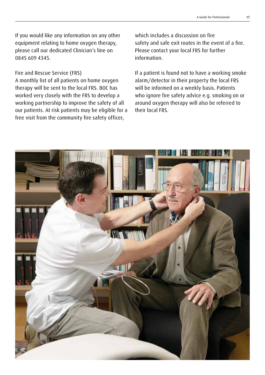If you would like any information on any other equipment relating to home oxygen therapy, please call our dedicated Clinician's line on 0845 609 4345.

#### Fire and Rescue Service (FRS)

A monthly list of all patients on home oxygen therapy will be sent to the local FRS. BOC has worked very closely with the FRS to develop a working partnership to improve the safety of all our patients. At risk patients may be eligible for a free visit from the community fire safety officer,

which includes a discussion on fire safety and safe exit routes in the event of a fire. Please contact your local FRS for further information.

If a patient is found not to have a working smoke alarm/detector in their property the local FRS will be informed on a weekly basis. Patients who ignore fire safety advice e.g. smoking on or around oxygen therapy will also be referred to their local FRS.

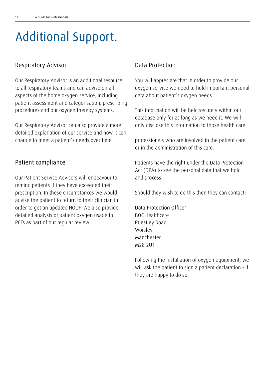### Additional Support.

#### Respiratory Advisor

Our Respiratory Advisor is an additional resource to all respiratory teams and can advise on all aspects of the home oxygen service, including patient assessment and categorisation, prescribing procedures and our oxygen therapy systems.

Our Respiratory Advisor can also provide a more detailed explanation of our service and how it can change to meet a patient's needs over time.

#### Patient compliance

Our Patient Service Advisors will endeavour to remind patients if they have exceeded their prescription. In these circumstances we would advise the patient to return to their clinician in order to get an updated HOOF. We also provide detailed analysis of patient oxygen usage to PCTs as part of our regular review.

#### Data Protection

You will appreciate that in order to provide our oxygen service we need to hold important personal data about patient's oxygen needs.

This information will be held securely within our database only for as long as we need it. We will only disclose this information to those health care

professionals who are involved in the patient care or in the administration of this care.

Patients have the right under the Data Protection Act (DPA) to see the personal data that we hold and process.

Should they wish to do this then they can contact:

#### Data Protection Officer

BOC Healthcare Priestley Road Worsley Manchester M28 2UT

Following the installation of oxygen equipment, we will ask the patient to sign a patient declaration - if they are happy to do so.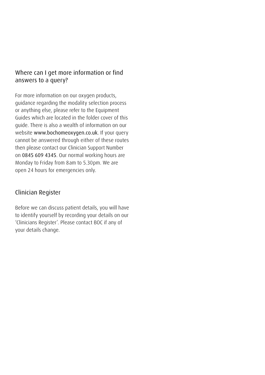#### Where can I get more information or find answers to a query?

For more information on our oxygen products, guidance regarding the modality selection process or anything else, please refer to the Equipment Guides which are located in the folder cover of this guide. There is also a wealth of information on our website www.bochomeoxygen.co.uk. If your query cannot be answered through either of these routes then please contact our Clinician Support Number on 0845 609 4345. Our normal working hours are Monday to Friday from 8am to 5.30pm. We are open 24 hours for emergencies only.

#### Clinician Register

Before we can discuss patient details, you will have to identify yourself by recording your details on our 'Clinicians Register'. Please contact BOC if any of your details change.